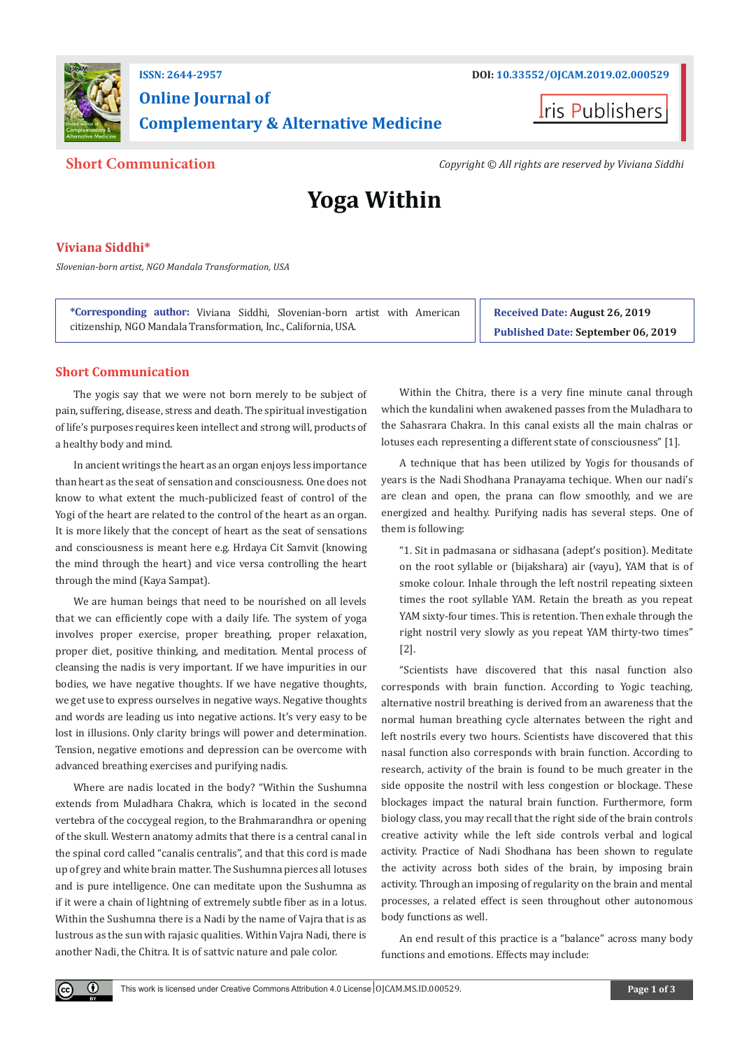

## **Online Journal of Complementary & Alternative Medicine**



**Short Communication** *Copyright © All rights are reserved by Viviana Siddhi*

# **Yoga Within**

### **Viviana Siddhi\***

*Slovenian-born artist, NGO Mandala Transformation, USA*

**\*Corresponding author:** Viviana Siddhi, Slovenian-born artist with American citizenship, NGO Mandala Transformation, Inc., California, USA.

**Received Date: August 26, 2019 Published Date: September 06, 2019**

#### **Short Communication**

The yogis say that we were not born merely to be subject of pain, suffering, disease, stress and death. The spiritual investigation of life's purposes requires keen intellect and strong will, products of a healthy body and mind.

In ancient writings the heart as an organ enjoys less importance than heart as the seat of sensation and consciousness. One does not know to what extent the much-publicized feast of control of the Yogi of the heart are related to the control of the heart as an organ. It is more likely that the concept of heart as the seat of sensations and consciousness is meant here e.g. Hrdaya Cit Samvit (knowing the mind through the heart) and vice versa controlling the heart through the mind (Kaya Sampat).

We are human beings that need to be nourished on all levels that we can efficiently cope with a daily life. The system of yoga involves proper exercise, proper breathing, proper relaxation, proper diet, positive thinking, and meditation. Mental process of cleansing the nadis is very important. If we have impurities in our bodies, we have negative thoughts. If we have negative thoughts, we get use to express ourselves in negative ways. Negative thoughts and words are leading us into negative actions. It's very easy to be lost in illusions. Only clarity brings will power and determination. Tension, negative emotions and depression can be overcome with advanced breathing exercises and purifying nadis.

Where are nadis located in the body? "Within the Sushumna extends from Muladhara Chakra, which is located in the second vertebra of the coccygeal region, to the Brahmarandhra or opening of the skull. Western anatomy admits that there is a central canal in the spinal cord called "canalis centralis", and that this cord is made up of grey and white brain matter. The Sushumna pierces all lotuses and is pure intelligence. One can meditate upon the Sushumna as if it were a chain of lightning of extremely subtle fiber as in a lotus. Within the Sushumna there is a Nadi by the name of Vajra that is as lustrous as the sun with rajasic qualities. Within Vajra Nadi, there is another Nadi, the Chitra. It is of sattvic nature and pale color.

 $\bf \Theta$ 

Within the Chitra, there is a very fine minute canal through which the kundalini when awakened passes from the Muladhara to the Sahasrara Chakra. In this canal exists all the main chalras or lotuses each representing a different state of consciousness" [1].

A technique that has been utilized by Yogis for thousands of years is the Nadi Shodhana Pranayama techique. When our nadi's are clean and open, the prana can flow smoothly, and we are energized and healthy. Purifying nadis has several steps. One of them is following:

"1. Sit in padmasana or sidhasana (adept's position). Meditate on the root syllable or (bijakshara) air (vayu), YAM that is of smoke colour. Inhale through the left nostril repeating sixteen times the root syllable YAM. Retain the breath as you repeat YAM sixty-four times. This is retention. Then exhale through the right nostril very slowly as you repeat YAM thirty-two times" [2].

"Scientists have discovered that this nasal function also corresponds with brain function. According to Yogic teaching, alternative nostril breathing is derived from an awareness that the normal human breathing cycle alternates between the right and left nostrils every two hours. Scientists have discovered that this nasal function also corresponds with brain function. According to research, activity of the brain is found to be much greater in the side opposite the nostril with less congestion or blockage. These blockages impact the natural brain function. Furthermore, form biology class, you may recall that the right side of the brain controls creative activity while the left side controls verbal and logical activity. Practice of Nadi Shodhana has been shown to regulate the activity across both sides of the brain, by imposing brain activity. Through an imposing of regularity on the brain and mental processes, a related effect is seen throughout other autonomous body functions as well.

An end result of this practice is a "balance" across many body functions and emotions. Effects may include: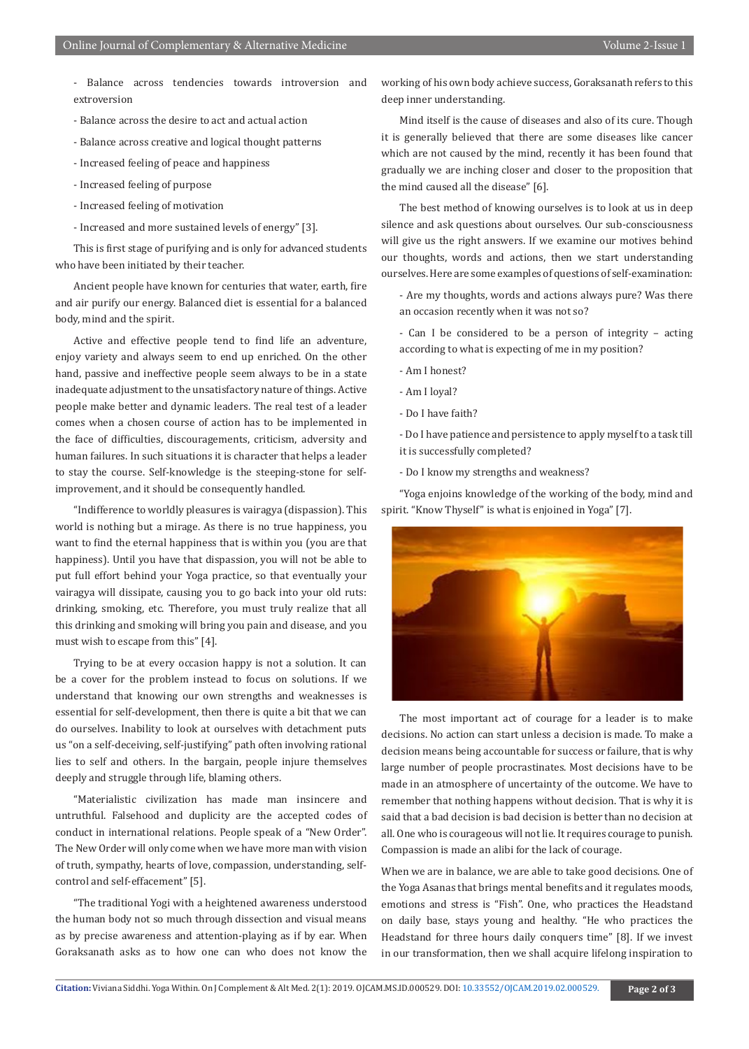- Balance across tendencies towards introversion and extroversion
- Balance across the desire to act and actual action
- Balance across creative and logical thought patterns
- Increased feeling of peace and happiness
- Increased feeling of purpose
- Increased feeling of motivation
- Increased and more sustained levels of energy" [3].

This is first stage of purifying and is only for advanced students who have been initiated by their teacher.

Ancient people have known for centuries that water, earth, fire and air purify our energy. Balanced diet is essential for a balanced body, mind and the spirit.

Active and effective people tend to find life an adventure, enjoy variety and always seem to end up enriched. On the other hand, passive and ineffective people seem always to be in a state inadequate adjustment to the unsatisfactory nature of things. Active people make better and dynamic leaders. The real test of a leader comes when a chosen course of action has to be implemented in the face of difficulties, discouragements, criticism, adversity and human failures. In such situations it is character that helps a leader to stay the course. Self-knowledge is the steeping-stone for selfimprovement, and it should be consequently handled.

"Indifference to worldly pleasures is vairagya (dispassion). This world is nothing but a mirage. As there is no true happiness, you want to find the eternal happiness that is within you (you are that happiness). Until you have that dispassion, you will not be able to put full effort behind your Yoga practice, so that eventually your vairagya will dissipate, causing you to go back into your old ruts: drinking, smoking, etc. Therefore, you must truly realize that all this drinking and smoking will bring you pain and disease, and you must wish to escape from this" [4].

Trying to be at every occasion happy is not a solution. It can be a cover for the problem instead to focus on solutions. If we understand that knowing our own strengths and weaknesses is essential for self-development, then there is quite a bit that we can do ourselves. Inability to look at ourselves with detachment puts us "on a self-deceiving, self-justifying" path often involving rational lies to self and others. In the bargain, people injure themselves deeply and struggle through life, blaming others.

"Materialistic civilization has made man insincere and untruthful. Falsehood and duplicity are the accepted codes of conduct in international relations. People speak of a "New Order". The New Order will only come when we have more man with vision of truth, sympathy, hearts of love, compassion, understanding, selfcontrol and self-effacement" [5].

"The traditional Yogi with a heightened awareness understood the human body not so much through dissection and visual means as by precise awareness and attention-playing as if by ear. When Goraksanath asks as to how one can who does not know the

working of his own body achieve success, Goraksanath refers to this deep inner understanding.

Mind itself is the cause of diseases and also of its cure. Though it is generally believed that there are some diseases like cancer which are not caused by the mind, recently it has been found that gradually we are inching closer and closer to the proposition that the mind caused all the disease" [6].

The best method of knowing ourselves is to look at us in deep silence and ask questions about ourselves. Our sub-consciousness will give us the right answers. If we examine our motives behind our thoughts, words and actions, then we start understanding ourselves. Here are some examples of questions of self-examination:

- Are my thoughts, words and actions always pure? Was there an occasion recently when it was not so?

- Can I be considered to be a person of integrity – acting according to what is expecting of me in my position?

- Am I honest?
- Am I loyal?
- Do I have faith?

- Do I have patience and persistence to apply myself to a task till it is successfully completed?

- Do I know my strengths and weakness?

"Yoga enjoins knowledge of the working of the body, mind and spirit. "Know Thyself" is what is enjoined in Yoga" [7].



The most important act of courage for a leader is to make decisions. No action can start unless a decision is made. To make a decision means being accountable for success or failure, that is why large number of people procrastinates. Most decisions have to be made in an atmosphere of uncertainty of the outcome. We have to remember that nothing happens without decision. That is why it is said that a bad decision is bad decision is better than no decision at all. One who is courageous will not lie. It requires courage to punish. Compassion is made an alibi for the lack of courage.

When we are in balance, we are able to take good decisions. One of the Yoga Asanas that brings mental benefits and it regulates moods, emotions and stress is "Fish". One, who practices the Headstand on daily base, stays young and healthy. "He who practices the Headstand for three hours daily conquers time" [8]. If we invest in our transformation, then we shall acquire lifelong inspiration to